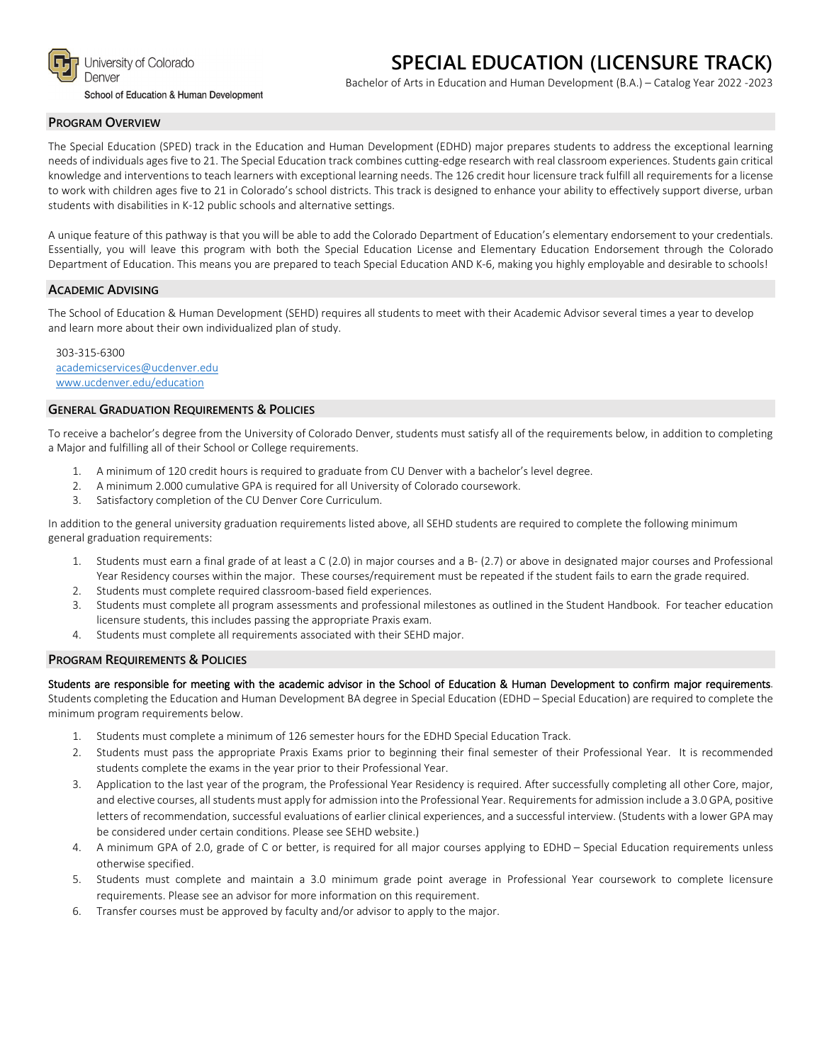

Denver School of Education & Human Development

# **SPECIAL EDUCATION (LICENSURE TRACK)**

Bachelor of Arts in Education and Human Development (B.A.) – Catalog Year 2022 -2023

### **PROGRAM OVERVIEW**

The Special Education (SPED) track in the Education and Human Development (EDHD) major prepares students to address the exceptional learning needs of individuals ages five to 21. The Special Education track combines cutting-edge research with real classroom experiences. Students gain critical knowledge and interventions to teach learners with exceptional learning needs. The 126 credit hour licensure track fulfill all requirements for a license to work with children ages five to 21 in Colorado's school districts. This track is designed to enhance your ability to effectively support diverse, urban students with disabilities in K-12 public schools and alternative settings.

A unique feature of this pathway is that you will be able to add the Colorado Department of Education's elementary endorsement to your credentials. Essentially, you will leave this program with both the Special Education License and Elementary Education Endorsement through the Colorado Department of Education. This means you are prepared to teach Special Education AND K-6, making you highly employable and desirable to schools!

### **ACADEMIC ADVISING**

The School of Education & Human Development (SEHD) requires all students to meet with their Academic Advisor several times a year to develop and learn more about their own individualized plan of study.

303-315-6300 [academicservices@ucdenver.edu](mailto:academicservices@ucdenver.edu) [www.ucdenver.edu/education](http://www.ucdenver.edu/education)

#### **GENERAL GRADUATION REQUIREMENTS & POLICIES**

To receive a bachelor's degree from the University of Colorado Denver, students must satisfy all of the requirements below, in addition to completing a Major and fulfilling all of their School or College requirements.

- 1. A minimum of 120 credit hours is required to graduate from CU Denver with a bachelor's level degree.
- 2. A minimum 2.000 cumulative GPA is required for all University of Colorado coursework.
- 3. Satisfactory completion of the CU Denver Core Curriculum.

In addition to the general university graduation requirements listed above, all SEHD students are required to complete the following minimum general graduation requirements:

- 1. Students must earn a final grade of at least a C (2.0) in major courses and a B- (2.7) or above in designated major courses and Professional Year Residency courses within the major. These courses/requirement must be repeated if the student fails to earn the grade required.
- 2. Students must complete required classroom-based field experiences.
- 3. Students must complete all program assessments and professional milestones as outlined in the Student Handbook. For teacher education licensure students, this includes passing the appropriate Praxis exam.
- 4. Students must complete all requirements associated with their SEHD major.

## **PROGRAM REQUIREMENTS & POLICIES**

Students are responsible for meeting with the academic advisor in the School of Education & Human Development to confirm major requirements.

Students completing the Education and Human Development BA degree in Special Education (EDHD – Special Education) are required to complete the minimum program requirements below.

- 1. Students must complete a minimum of 126 semester hours for the EDHD Special Education Track.
- 2. Students must pass the appropriate Praxis Exams prior to beginning their final semester of their Professional Year. It is recommended students complete the exams in the year prior to their Professional Year.
- 3. Application to the last year of the program, the Professional Year Residency is required. After successfully completing all other Core, major, and elective courses, all students must apply for admission into the Professional Year. Requirements for admission include a 3.0 GPA, positive letters of recommendation, successful evaluations of earlier clinical experiences, and a successful interview. (Students with a lower GPA may be considered under certain conditions. Please see SEHD website.)
- 4. A minimum GPA of 2.0, grade of C or better, is required for all major courses applying to EDHD Special Education requirements unless otherwise specified.
- 5. Students must complete and maintain a 3.0 minimum grade point average in Professional Year coursework to complete licensure requirements. Please see an advisor for more information on this requirement.
- 6. Transfer courses must be approved by faculty and/or advisor to apply to the major.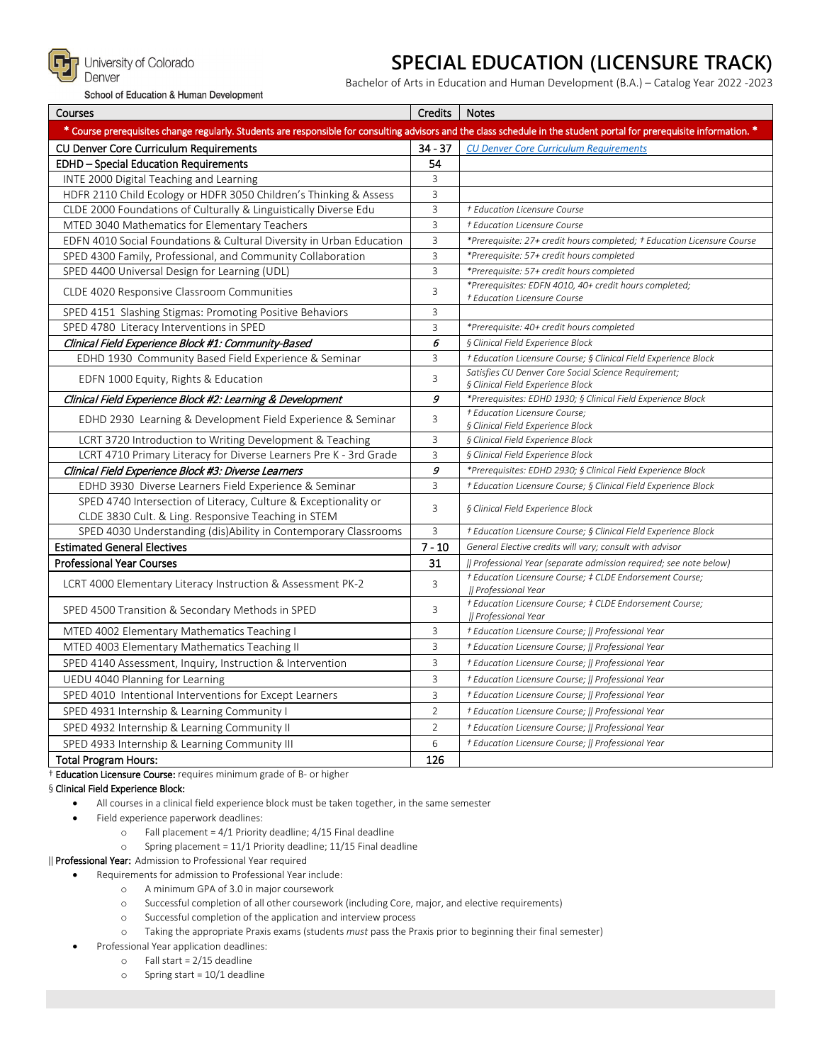

University of Colorado Denver

# **SPECIAL EDUCATION (LICENSURE TRACK)**

School of Education & Human Development

Bachelor of Arts in Education and Human Development (B.A.) – Catalog Year 2022 -2023

| Courses                                                                                                                                                                | Credits        | <b>Notes</b>                                                                                      |  |  |  |
|------------------------------------------------------------------------------------------------------------------------------------------------------------------------|----------------|---------------------------------------------------------------------------------------------------|--|--|--|
| * Course prerequisites change regularly. Students are responsible for consulting advisors and the class schedule in the student portal for prerequisite information. * |                |                                                                                                   |  |  |  |
| <b>CU Denver Core Curriculum Requirements</b>                                                                                                                          | $34 - 37$      | <b>CU Denver Core Curriculum Requirements</b>                                                     |  |  |  |
| <b>EDHD-Special Education Requirements</b>                                                                                                                             | 54             |                                                                                                   |  |  |  |
| INTE 2000 Digital Teaching and Learning                                                                                                                                | 3              |                                                                                                   |  |  |  |
| HDFR 2110 Child Ecology or HDFR 3050 Children's Thinking & Assess                                                                                                      | 3              |                                                                                                   |  |  |  |
| CLDE 2000 Foundations of Culturally & Linguistically Diverse Edu                                                                                                       | 3              | <sup>†</sup> Education Licensure Course                                                           |  |  |  |
| MTED 3040 Mathematics for Elementary Teachers                                                                                                                          | $\overline{3}$ | † Education Licensure Course                                                                      |  |  |  |
| EDFN 4010 Social Foundations & Cultural Diversity in Urban Education                                                                                                   | 3              | *Prerequisite: 27+ credit hours completed; † Education Licensure Course                           |  |  |  |
| SPED 4300 Family, Professional, and Community Collaboration                                                                                                            | 3              | *Prerequisite: 57+ credit hours completed                                                         |  |  |  |
| SPED 4400 Universal Design for Learning (UDL)                                                                                                                          | 3              | *Prerequisite: 57+ credit hours completed                                                         |  |  |  |
| CLDE 4020 Responsive Classroom Communities                                                                                                                             | 3              | *Prerequisites: EDFN 4010, 40+ credit hours completed;<br><sup>+</sup> Education Licensure Course |  |  |  |
| SPED 4151 Slashing Stigmas: Promoting Positive Behaviors                                                                                                               | 3              |                                                                                                   |  |  |  |
| SPED 4780 Literacy Interventions in SPED                                                                                                                               | $\overline{3}$ | *Prerequisite: 40+ credit hours completed                                                         |  |  |  |
| Clinical Field Experience Block #1: Community-Based                                                                                                                    | 6              | § Clinical Field Experience Block                                                                 |  |  |  |
| EDHD 1930 Community Based Field Experience & Seminar                                                                                                                   | 3              | + Education Licensure Course; § Clinical Field Experience Block                                   |  |  |  |
| EDFN 1000 Equity, Rights & Education                                                                                                                                   | 3              | Satisfies CU Denver Core Social Science Requirement;<br>§ Clinical Field Experience Block         |  |  |  |
| Clinical Field Experience Block #2: Learning & Development                                                                                                             | 9              | *Prerequisites: EDHD 1930; § Clinical Field Experience Block                                      |  |  |  |
| EDHD 2930 Learning & Development Field Experience & Seminar                                                                                                            | 3              | † Education Licensure Course;<br>§ Clinical Field Experience Block                                |  |  |  |
| LCRT 3720 Introduction to Writing Development & Teaching                                                                                                               | 3              | § Clinical Field Experience Block                                                                 |  |  |  |
| LCRT 4710 Primary Literacy for Diverse Learners Pre K - 3rd Grade                                                                                                      |                | § Clinical Field Experience Block                                                                 |  |  |  |
| Clinical Field Experience Block #3: Diverse Learners                                                                                                                   | 9              | *Prerequisites: EDHD 2930; § Clinical Field Experience Block                                      |  |  |  |
| EDHD 3930 Diverse Learners Field Experience & Seminar                                                                                                                  | 3              | + Education Licensure Course; § Clinical Field Experience Block                                   |  |  |  |
| SPED 4740 Intersection of Literacy, Culture & Exceptionality or<br>CLDE 3830 Cult. & Ling. Responsive Teaching in STEM                                                 | 3              | § Clinical Field Experience Block                                                                 |  |  |  |
| SPED 4030 Understanding (dis)Ability in Contemporary Classrooms                                                                                                        | 3              | + Education Licensure Course; § Clinical Field Experience Block                                   |  |  |  |
| <b>Estimated General Electives</b>                                                                                                                                     | $7 - 10$       | General Elective credits will vary; consult with advisor                                          |  |  |  |
| <b>Professional Year Courses</b>                                                                                                                                       | 31             | Professional Year (separate admission required; see note below)                                   |  |  |  |
| LCRT 4000 Elementary Literacy Instruction & Assessment PK-2                                                                                                            | 3              | + Education Licensure Course; # CLDE Endorsement Course;<br>   Professional Year                  |  |  |  |
| SPED 4500 Transition & Secondary Methods in SPED                                                                                                                       | 3              | + Education Licensure Course; # CLDE Endorsement Course;<br>   Professional Year                  |  |  |  |
| MTED 4002 Elementary Mathematics Teaching I                                                                                                                            | 3              | + Education Licensure Course;    Professional Year                                                |  |  |  |
| MTED 4003 Elementary Mathematics Teaching II                                                                                                                           | 3              | + Education Licensure Course;    Professional Year                                                |  |  |  |
| SPED 4140 Assessment, Inquiry, Instruction & Intervention                                                                                                              | 3              | + Education Licensure Course;    Professional Year                                                |  |  |  |
| UEDU 4040 Planning for Learning                                                                                                                                        | 3              | + Education Licensure Course;    Professional Year                                                |  |  |  |
| SPED 4010 Intentional Interventions for Except Learners                                                                                                                | 3              | + Education Licensure Course;    Professional Year                                                |  |  |  |
| SPED 4931 Internship & Learning Community I                                                                                                                            | $\overline{2}$ | + Education Licensure Course;    Professional Year                                                |  |  |  |
| SPED 4932 Internship & Learning Community II                                                                                                                           | $\overline{2}$ | † Education Licensure Course;    Professional Year                                                |  |  |  |
| SPED 4933 Internship & Learning Community III                                                                                                                          | 6              | † Education Licensure Course;    Professional Year                                                |  |  |  |
| <b>Total Program Hours:</b>                                                                                                                                            | 126            |                                                                                                   |  |  |  |

† Education Licensure Course: requires minimum grade of B- or higher

### § Clinical Field Experience Block:

- All courses in a clinical field experience block must be taken together, in the same semester
- Field experience paperwork deadlines:
	- $\circ$  Fall placement = 4/1 Priority deadline; 4/15 Final deadline
	- o Spring placement = 11/1 Priority deadline; 11/15 Final deadline

‖ Professional Year: Admission to Professional Year required

- Requirements for admission to Professional Year include:
	- o A minimum GPA of 3.0 in major coursework
	- o Successful completion of all other coursework (including Core, major, and elective requirements)
	- o Successful completion of the application and interview process
	- o Taking the appropriate Praxis exams (students *must* pass the Praxis prior to beginning their final semester)
	- Professional Year application deadlines:
		- o Fall start = 2/15 deadline
		- <sup>o</sup> Spring start = 10/1 deadline